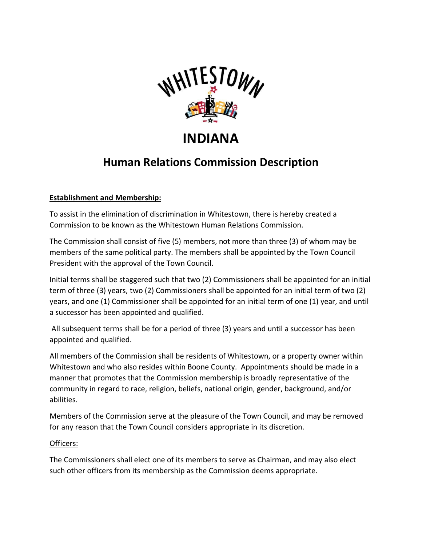

# **INDIANA**

## **Human Relations Commission Description**

### **Establishment and Membership:**

To assist in the elimination of discrimination in Whitestown, there is hereby created a Commission to be known as the Whitestown Human Relations Commission.

The Commission shall consist of five (5) members, not more than three (3) of whom may be members of the same political party. The members shall be appointed by the Town Council President with the approval of the Town Council.

Initial terms shall be staggered such that two (2) Commissioners shall be appointed for an initial term of three (3) years, two (2) Commissioners shall be appointed for an initial term of two (2) years, and one (1) Commissioner shall be appointed for an initial term of one (1) year, and until a successor has been appointed and qualified.

All subsequent terms shall be for a period of three (3) years and until a successor has been appointed and qualified.

All members of the Commission shall be residents of Whitestown, or a property owner within Whitestown and who also resides within Boone County. Appointments should be made in a manner that promotes that the Commission membership is broadly representative of the community in regard to race, religion, beliefs, national origin, gender, background, and/or abilities.

Members of the Commission serve at the pleasure of the Town Council, and may be removed for any reason that the Town Council considers appropriate in its discretion.

#### Officers:

The Commissioners shall elect one of its members to serve as Chairman, and may also elect such other officers from its membership as the Commission deems appropriate.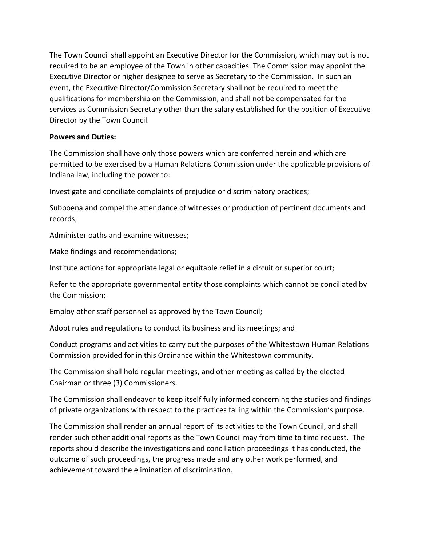The Town Council shall appoint an Executive Director for the Commission, which may but is not required to be an employee of the Town in other capacities. The Commission may appoint the Executive Director or higher designee to serve as Secretary to the Commission. In such an event, the Executive Director/Commission Secretary shall not be required to meet the qualifications for membership on the Commission, and shall not be compensated for the services as Commission Secretary other than the salary established for the position of Executive Director by the Town Council.

#### **Powers and Duties:**

The Commission shall have only those powers which are conferred herein and which are permitted to be exercised by a Human Relations Commission under the applicable provisions of Indiana law, including the power to:

Investigate and conciliate complaints of prejudice or discriminatory practices;

Subpoena and compel the attendance of witnesses or production of pertinent documents and records;

Administer oaths and examine witnesses;

Make findings and recommendations;

Institute actions for appropriate legal or equitable relief in a circuit or superior court;

Refer to the appropriate governmental entity those complaints which cannot be conciliated by the Commission;

Employ other staff personnel as approved by the Town Council;

Adopt rules and regulations to conduct its business and its meetings; and

Conduct programs and activities to carry out the purposes of the Whitestown Human Relations Commission provided for in this Ordinance within the Whitestown community.

The Commission shall hold regular meetings, and other meeting as called by the elected Chairman or three (3) Commissioners.

The Commission shall endeavor to keep itself fully informed concerning the studies and findings of private organizations with respect to the practices falling within the Commission's purpose.

The Commission shall render an annual report of its activities to the Town Council, and shall render such other additional reports as the Town Council may from time to time request. The reports should describe the investigations and conciliation proceedings it has conducted, the outcome of such proceedings, the progress made and any other work performed, and achievement toward the elimination of discrimination.